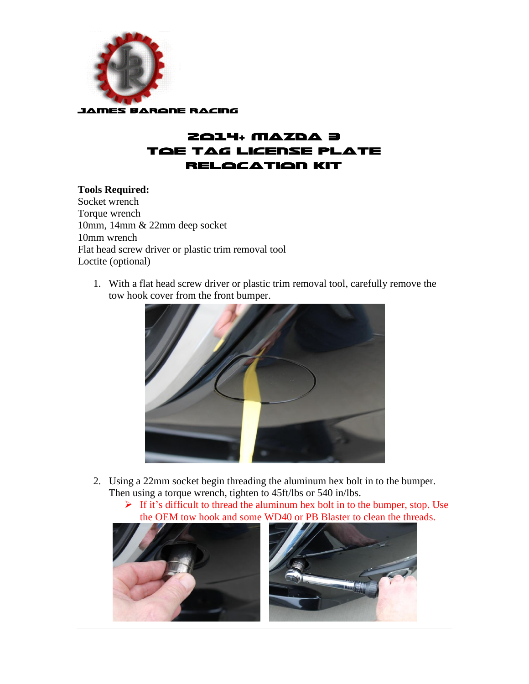

# 2014+ Mazda 3 Toe Tag License Plate Relocation Kit

# **Tools Required:**

Socket wrench Torque wrench 10mm, 14mm & 22mm deep socket 10mm wrench Flat head screw driver or plastic trim removal tool Loctite (optional)

1. With a flat head screw driver or plastic trim removal tool, carefully remove the tow hook cover from the front bumper.



- 2. Using a 22mm socket begin threading the aluminum hex bolt in to the bumper. Then using a torque wrench, tighten to 45ft/lbs or 540 in/lbs.
	- $\triangleright$  If it's difficult to thread the aluminum hex bolt in to the bumper, stop. Use the OEM tow hook and some WD40 or PB Blaster to clean the threads.

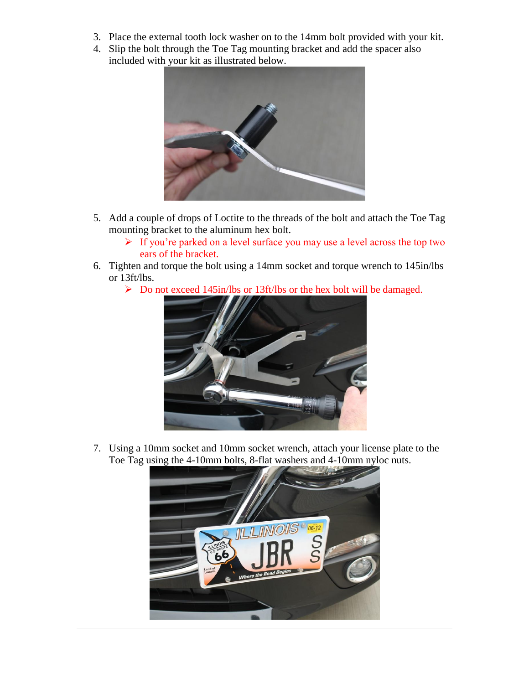- 3. Place the external tooth lock washer on to the 14mm bolt provided with your kit.
- 4. Slip the bolt through the Toe Tag mounting bracket and add the spacer also included with your kit as illustrated below.



- 5. Add a couple of drops of Loctite to the threads of the bolt and attach the Toe Tag mounting bracket to the aluminum hex bolt.
	- $\triangleright$  If you're parked on a level surface you may use a level across the top two ears of the bracket.
- 6. Tighten and torque the bolt using a 14mm socket and torque wrench to 145in/lbs or 13ft/lbs.
	- Do not exceed 145in/lbs or 13ft/lbs or the hex bolt will be damaged.



7. Using a 10mm socket and 10mm socket wrench, attach your license plate to the Toe Tag using the 4-10mm bolts, 8-flat washers and 4-10mm nyloc nuts.